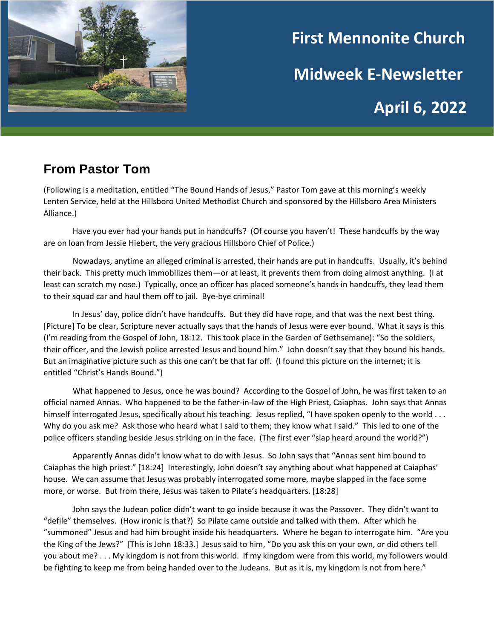

# **First Mennonite Church Midweek E-Newsletter April 6, 2022**

# **From Pastor Tom**

(Following is a meditation, entitled "The Bound Hands of Jesus," Pastor Tom gave at this morning's weekly Lenten Service, held at the Hillsboro United Methodist Church and sponsored by the Hillsboro Area Ministers Alliance.)

Have you ever had your hands put in handcuffs? (Of course you haven't! These handcuffs by the way are on loan from Jessie Hiebert, the very gracious Hillsboro Chief of Police.)

Nowadays, anytime an alleged criminal is arrested, their hands are put in handcuffs. Usually, it's behind their back. This pretty much immobilizes them—or at least, it prevents them from doing almost anything. (I at least can scratch my nose.) Typically, once an officer has placed someone's hands in handcuffs, they lead them to their squad car and haul them off to jail. Bye-bye criminal!

In Jesus' day, police didn't have handcuffs. But they did have rope, and that was the next best thing. [Picture] To be clear, Scripture never actually says that the hands of Jesus were ever bound. What it says is this (I'm reading from the Gospel of John, 18:12. This took place in the Garden of Gethsemane): "So the soldiers, their officer, and the Jewish police arrested Jesus and bound him." John doesn't say that they bound his hands. But an imaginative picture such as this one can't be that far off. (I found this picture on the internet; it is entitled "Christ's Hands Bound.")

What happened to Jesus, once he was bound? According to the Gospel of John, he was first taken to an official named Annas. Who happened to be the father-in-law of the High Priest, Caiaphas. John says that Annas himself interrogated Jesus, specifically about his teaching. Jesus replied, "I have spoken openly to the world . . . Why do you ask me? Ask those who heard what I said to them; they know what I said." This led to one of the police officers standing beside Jesus striking on in the face. (The first ever "slap heard around the world?")

Apparently Annas didn't know what to do with Jesus. So John says that "Annas sent him bound to Caiaphas the high priest." [18:24] Interestingly, John doesn't say anything about what happened at Caiaphas' house. We can assume that Jesus was probably interrogated some more, maybe slapped in the face some more, or worse. But from there, Jesus was taken to Pilate's headquarters. [18:28]

John says the Judean police didn't want to go inside because it was the Passover. They didn't want to "defile" themselves. (How ironic is that?) So Pilate came outside and talked with them. After which he "summoned" Jesus and had him brought inside his headquarters. Where he began to interrogate him. "Are you the King of the Jews?" [This is John 18:33.] Jesus said to him, "Do you ask this on your own, or did others tell you about me? . . . My kingdom is not from this world. If my kingdom were from this world, my followers would be fighting to keep me from being handed over to the Judeans. But as it is, my kingdom is not from here."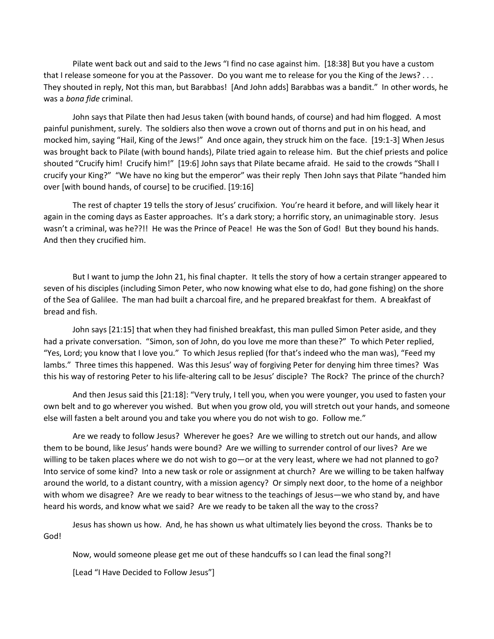Pilate went back out and said to the Jews "I find no case against him. [18:38] But you have a custom that I release someone for you at the Passover. Do you want me to release for you the King of the Jews? . . . They shouted in reply, Not this man, but Barabbas! [And John adds] Barabbas was a bandit." In other words, he was a *bona fide* criminal.

John says that Pilate then had Jesus taken (with bound hands, of course) and had him flogged. A most painful punishment, surely. The soldiers also then wove a crown out of thorns and put in on his head, and mocked him, saying "Hail, King of the Jews!" And once again, they struck him on the face. [19:1-3] When Jesus was brought back to Pilate (with bound hands), Pilate tried again to release him. But the chief priests and police shouted "Crucify him! Crucify him!" [19:6] John says that Pilate became afraid. He said to the crowds "Shall I crucify your King?" "We have no king but the emperor" was their reply Then John says that Pilate "handed him over [with bound hands, of course] to be crucified. [19:16]

The rest of chapter 19 tells the story of Jesus' crucifixion. You're heard it before, and will likely hear it again in the coming days as Easter approaches. It's a dark story; a horrific story, an unimaginable story. Jesus wasn't a criminal, was he??!! He was the Prince of Peace! He was the Son of God! But they bound his hands. And then they crucified him.

But I want to jump the John 21, his final chapter. It tells the story of how a certain stranger appeared to seven of his disciples (including Simon Peter, who now knowing what else to do, had gone fishing) on the shore of the Sea of Galilee. The man had built a charcoal fire, and he prepared breakfast for them. A breakfast of bread and fish.

John says [21:15] that when they had finished breakfast, this man pulled Simon Peter aside, and they had a private conversation. "Simon, son of John, do you love me more than these?" To which Peter replied, "Yes, Lord; you know that I love you." To which Jesus replied (for that's indeed who the man was), "Feed my lambs." Three times this happened. Was this Jesus' way of forgiving Peter for denying him three times? Was this his way of restoring Peter to his life-altering call to be Jesus' disciple? The Rock? The prince of the church?

And then Jesus said this [21:18]: "Very truly, I tell you, when you were younger, you used to fasten your own belt and to go wherever you wished. But when you grow old, you will stretch out your hands, and someone else will fasten a belt around you and take you where you do not wish to go. Follow me."

Are we ready to follow Jesus? Wherever he goes? Are we willing to stretch out our hands, and allow them to be bound, like Jesus' hands were bound? Are we willing to surrender control of our lives? Are we willing to be taken places where we do not wish to go—or at the very least, where we had not planned to go? Into service of some kind? Into a new task or role or assignment at church? Are we willing to be taken halfway around the world, to a distant country, with a mission agency? Or simply next door, to the home of a neighbor with whom we disagree? Are we ready to bear witness to the teachings of Jesus—we who stand by, and have heard his words, and know what we said? Are we ready to be taken all the way to the cross?

Jesus has shown us how. And, he has shown us what ultimately lies beyond the cross. Thanks be to God!

Now, would someone please get me out of these handcuffs so I can lead the final song?!

[Lead "I Have Decided to Follow Jesus"]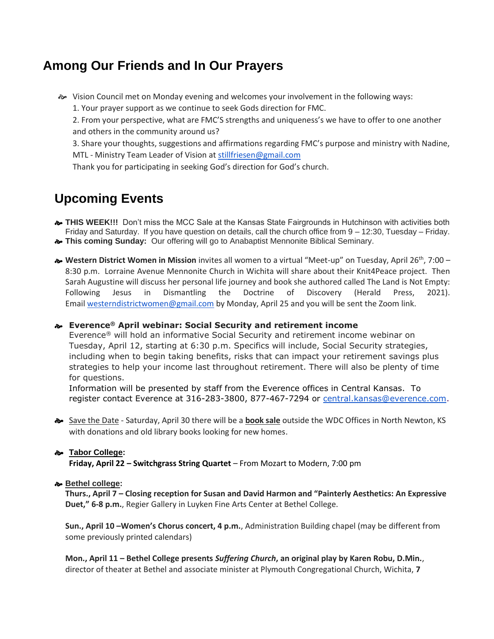## **Among Our Friends and In Our Prayers**

Vision Council met on Monday evening and welcomes your involvement in the following ways:

1. Your prayer support as we continue to seek Gods direction for FMC.

2. From your perspective, what are FMC'S strengths and uniqueness's we have to offer to one another and others in the community around us?

3. Share your thoughts, suggestions and affirmations regarding FMC's purpose and ministry with Nadine, MTL - Ministry Team Leader of Vision at [stillfriesen@gmail.com](mailto:stillfriesen@gmail.com)

Thank you for participating in seeking God's direction for God's church.

## **Upcoming Events**

- **THIS WEEK!!!** Don't miss the MCC Sale at the Kansas State Fairgrounds in Hutchinson with activities both Friday and Saturday. If you have question on details, call the church office from 9 – 12:30, Tuesday – Friday.
- **This coming Sunday:** Our offering will go to Anabaptist Mennonite Biblical Seminary.
- **Western District Women in Mission** invites all women to a virtual "Meet-up" on Tuesday, April 26th, 7:00 8:30 p.m. Lorraine Avenue Mennonite Church in Wichita will share about their Knit4Peace project. Then Sarah Augustine will discuss her personal life journey and book she authored called The Land is Not Empty: Following Jesus in Dismantling the Doctrine of Discovery (Herald Press, 2021). Email [westerndistrictwomen@gmail.com](mailto:westerndistrictwomen@gmail.com) by Monday, April 25 and you will be sent the Zoom link.

#### **Everence® April webinar: Social Security and retirement income**

Everence® will hold an informative Social Security and retirement income webinar on Tuesday, April 12, starting at 6:30 p.m. Specifics will include, Social Security strategies, including when to begin taking benefits, risks that can impact your retirement savings plus strategies to help your income last throughout retirement. There will also be plenty of time for questions.

Information will be presented by staff from the Everence offices in Central Kansas. To register contact Everence at 316-283-3800, 877-467-7294 or [central.kansas@everence.com.](mailto:central.kansas@everence.com)

 Save the Date - Saturday, April 30 there will be a **book sale** outside the WDC Offices in North Newton, KS with donations and old library books looking for new homes.

#### **Tabor College:**

**Friday, April 22 – Switchgrass String Quartet** – From Mozart to Modern, 7:00 pm

#### **Bethel college:**

**Thurs., April 7 – Closing reception for Susan and David Harmon and "Painterly Aesthetics: An Expressive Duet," 6-8 p.m.**, Regier Gallery in Luyken Fine Arts Center at Bethel College.

**Sun., April 10 –Women's Chorus concert, 4 p.m.**, Administration Building chapel (may be different from some previously printed calendars)

**Mon., April 11 – Bethel College presents** *Suffering Church***, an original play by Karen Robu, D.Min.**, director of theater at Bethel and associate minister at Plymouth Congregational Church, Wichita, **7**